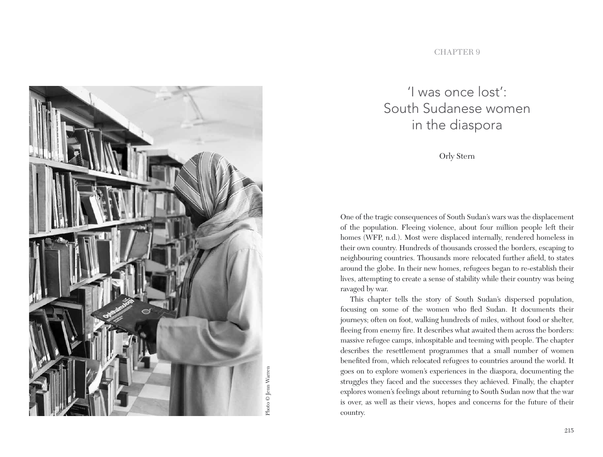

#### **CHAPTER 9**

# 'I was once lost': South Sudanese women in the diaspora

Orly Stern

One of the tragic consequences of South Sudan's wars was the displacement of the population. Fleeing violence, about four million people left their homes (WFP, n.d.). Most were displaced internally, rendered homeless in their own country. Hundreds of thousands crossed the borders, escaping to neighbouring countries. Thousands more relocated further afield, to states around the globe. In their new homes, refugees began to re-establish their lives, attempting to create a sense of stability while their country was being ravaged by war.

This chapter tells the story of South Sudan's dispersed population, focusing on some of the women who fled Sudan. It documents their journeys; often on foot, walking hundreds of miles, without food or shelter, fleeing from enemy fire. It describes what awaited them across the borders: massive refugee camps, inhospitable and teeming with people. The chapter describes the resettlement programmes that a small number of women benefited from, which relocated refugees to countries around the world. It goes on to explore women's experiences in the diaspora, documenting the struggles they faced and the successes they achieved. Finally, the chapter explores women's feelings about returning to South Sudan now that the war is over, as well as their views, hopes and concerns for the future of their country.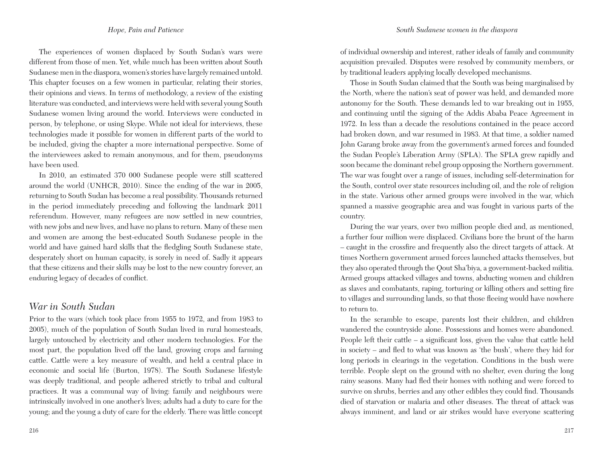The experiences of women displaced by South Sudan's wars were different from those of men. Yet, while much has been written about South Sudanese men in the diaspora, women's stories have largely remained untold. This chapter focuses on a few women in particular, relating their stories, their opinions and views. In terms of methodology, a review of the existing literature was conducted, and interviews were held with several young South Sudanese women living around the world. Interviews were conducted in person, by telephone, or using Skype. While not ideal for interviews, these technologies made it possible for women in different parts of the world to be included, giving the chapter a more international perspective. Some of the interviewees asked to remain anonymous, and for them, pseudonyms have been used.

In 2010, an estimated 370 000 Sudanese people were still scattered around the world (UNHCR, 2010). Since the ending of the war in 2005, returning to South Sudan has become a real possibility. Thousands returned in the period immediately preceding and following the landmark 2011 referendum. However, many refugees are now settled in new countries, with new jobs and new lives, and have no plans to return. Many of these men and women are among the best-educated South Sudanese people in the world and have gained hard skills that the fledgling South Sudanese state, desperately short on human capacity, is sorely in need of. Sadly it appears that these citizens and their skills may be lost to the new country forever, an enduring legacy of decades of conflict.

## *War in South Sudan*

Prior to the wars (which took place from 1955 to 1972, and from 1983 to 2005), much of the population of South Sudan lived in rural homesteads, largely untouched by electricity and other modern technologies. For the most part, the population lived off the land, growing crops and farming cattle. Cattle were a key measure of wealth, and held a central place in economic and social life (Burton, 1978). The South Sudanese lifestyle was deeply traditional, and people adhered strictly to tribal and cultural practices. It was a communal way of living: family and neighbours were intrinsically involved in one another's lives; adults had a duty to care for the young; and the young a duty of care for the elderly. There was little concept

of individual ownership and interest, rather ideals of family and community acquisition prevailed. Disputes were resolved by community members, or by traditional leaders applying locally developed mechanisms.

Those in South Sudan claimed that the South was being marginalised by the North, where the nation's seat of power was held, and demanded more autonomy for the South. These demands led to war breaking out in 1955, and continuing until the signing of the Addis Ababa Peace Agreement in 1972. In less than a decade the resolutions contained in the peace accord had broken down, and war resumed in 1983. At that time, a soldier named John Garang broke away from the government's armed forces and founded the Sudan People's Liberation Army (SPLA). The SPLA grew rapidly and soon became the dominant rebel group opposing the Northern government. The war was fought over a range of issues, including self-determination for the South, control over state resources including oil, and the role of religion in the state. Various other armed groups were involved in the war, which spanned a massive geographic area and was fought in various parts of the country.

During the war years, over two million people died and, as mentioned, a further four million were displaced. Civilians bore the brunt of the harm – caught in the crossfire and frequently also the direct targets of attack. At times Northern government armed forces launched attacks themselves, but they also operated through the Qout Sha'biya, a government-backed militia. Armed groups attacked villages and towns, abducting women and children as slaves and combatants, raping, torturing or killing others and setting fire to villages and surrounding lands, so that those fleeing would have nowhere to return to.

In the scramble to escape, parents lost their children, and children wandered the countryside alone. Possessions and homes were abandoned. People left their cattle – a significant loss, given the value that cattle held in society – and fled to what was known as 'the bush', where they hid for long periods in clearings in the vegetation. Conditions in the bush were terrible. People slept on the ground with no shelter, even during the long rainy seasons. Many had fled their homes with nothing and were forced to survive on shrubs, berries and any other edibles they could find. Thousands died of starvation or malaria and other diseases. The threat of attack was always imminent, and land or air strikes would have everyone scattering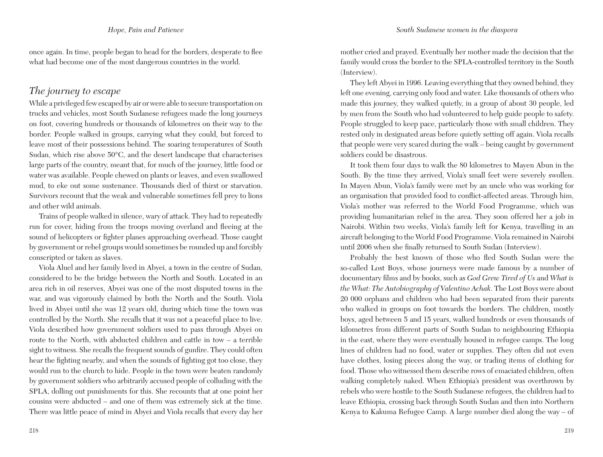once again. In time, people began to head for the borders, desperate to flee what had become one of the most dangerous countries in the world.

## *The journey to escape*

While a privileged few escaped by air or were able to secure transportation on trucks and vehicles, most South Sudanese refugees made the long journeys on foot, covering hundreds or thousands of kilometres on their way to the border. People walked in groups, carrying what they could, but forced to leave most of their possessions behind. The soaring temperatures of South Sudan, which rise above 50°C, and the desert landscape that characterises large parts of the country, meant that, for much of the journey, little food or water was available. People chewed on plants or leaves, and even swallowed mud, to eke out some sustenance. Thousands died of thirst or starvation. Survivors recount that the weak and vulnerable sometimes fell prey to lions and other wild animals.

Trains of people walked in silence, wary of attack. They had to repeatedly run for cover, hiding from the troops moving overland and fleeing at the sound of helicopters or fighter planes approaching overhead. Those caught by government or rebel groups would sometimes be rounded up and forcibly conscripted or taken as slaves.

Viola Aluel and her family lived in Abyei, a town in the centre of Sudan, considered to be the bridge between the North and South. Located in an area rich in oil reserves, Abyei was one of the most disputed towns in the war, and was vigorously claimed by both the North and the South. Viola lived in Abyei until she was 12 years old, during which time the town was controlled by the North. She recalls that it was not a peaceful place to live. Viola described how government soldiers used to pass through Abyei on route to the North, with abducted children and cattle in tow – a terrible sight to witness. She recalls the frequent sounds of gunfire. They could often hear the fighting nearby, and when the sounds of fighting got too close, they would run to the church to hide. People in the town were beaten randomly by government soldiers who arbitrarily accused people of colluding with the SPLA, dolling out punishments for this. She recounts that at one point her cousins were abducted – and one of them was extremely sick at the time. There was little peace of mind in Abyei and Viola recalls that every day her

mother cried and prayed. Eventually her mother made the decision that the family would cross the border to the SPLA-controlled territory in the South (Interview).

They left Abyei in 1996. Leaving everything that they owned behind, they left one evening, carrying only food and water. Like thousands of others who made this journey, they walked quietly, in a group of about 30 people, led by men from the South who had volunteered to help guide people to safety. People struggled to keep pace, particularly those with small children. They rested only in designated areas before quietly setting off again. Viola recalls that people were very scared during the walk – being caught by government soldiers could be disastrous.

It took them four days to walk the 80 kilometres to Mayen Abun in the South. By the time they arrived, Viola's small feet were severely swollen. In Mayen Abun, Viola's family were met by an uncle who was working for an organisation that provided food to conflict-affected areas. Through him, Viola's mother was referred to the World Food Programme, which was providing humanitarian relief in the area. They soon offered her a job in Nairobi. Within two weeks, Viola's family left for Kenya, travelling in an aircraft belonging to the World Food Programme. Viola remained in Nairobi until 2006 when she finally returned to South Sudan (Interview).

Probably the best known of those who fled South Sudan were the so-called Lost Boys, whose journeys were made famous by a number of documentary films and by books, such as *God Grew Tired of Us* and *What is the What: The Autobiography of Valentino Achak*. The Lost Boys were about 20 000 orphans and children who had been separated from their parents who walked in groups on foot towards the borders. The children, mostly boys, aged between 5 and 15 years, walked hundreds or even thousands of kilometres from different parts of South Sudan to neighbouring Ethiopia in the east, where they were eventually housed in refugee camps. The long lines of children had no food, water or supplies. They often did not even have clothes, losing pieces along the way, or trading items of clothing for food. Those who witnessed them describe rows of emaciated children, often walking completely naked. When Ethiopia's president was overthrown by rebels who were hostile to the South Sudanese refugees, the children had to leave Ethiopia, crossing back through South Sudan and then into Northern Kenya to Kakuma Refugee Camp. A large number died along the way – of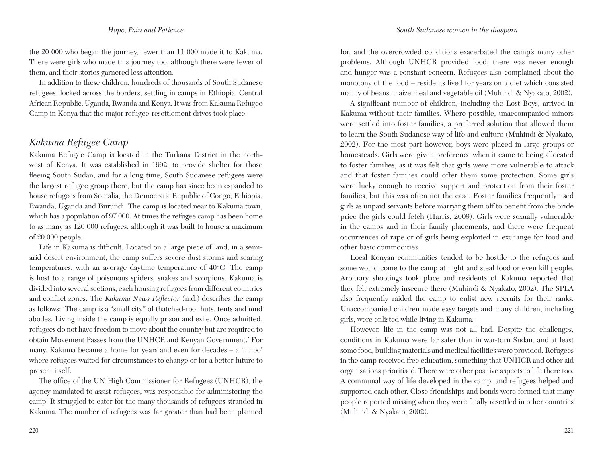the 20 000 who began the journey, fewer than 11 000 made it to Kakuma. There were girls who made this journey too, although there were fewer of them, and their stories garnered less attention.

In addition to these children, hundreds of thousands of South Sudanese refugees flocked across the borders, settling in camps in Ethiopia, Central African Republic, Uganda, Rwanda and Kenya. It was from Kakuma Refugee Camp in Kenya that the major refugee-resettlement drives took place.

## *Kakuma Refugee Camp*

Kakuma Refugee Camp is located in the Turkana District in the northwest of Kenya. It was established in 1992, to provide shelter for those fleeing South Sudan, and for a long time, South Sudanese refugees were the largest refugee group there, but the camp has since been expanded to house refugees from Somalia, the Democratic Republic of Congo, Ethiopia, Rwanda, Uganda and Burundi. The camp is located near to Kakuma town, which has a population of 97 000. At times the refugee camp has been home to as many as 120 000 refugees, although it was built to house a maximum of 20 000 people.

Life in Kakuma is difficult. Located on a large piece of land, in a semiarid desert environment, the camp suffers severe dust storms and searing temperatures, with an average daytime temperature of 40°C. The camp is host to a range of poisonous spiders, snakes and scorpions. Kakuma is divided into several sections, each housing refugees from different countries and conflict zones. The *Kakuma News Reflector* (n.d.) describes the camp as follows: 'The camp is a "small city" of thatched-roof huts, tents and mud abodes. Living inside the camp is equally prison and exile. Once admitted, refugees do not have freedom to move about the country but are required to obtain Movement Passes from the UNHCR and Kenyan Government.' For many, Kakuma became a home for years and even for decades – a 'limbo' where refugees waited for circumstances to change or for a better future to present itself.

The office of the UN High Commissioner for Refugees (UNHCR), the agency mandated to assist refugees, was responsible for administering the camp. It struggled to cater for the many thousands of refugees stranded in Kakuma. The number of refugees was far greater than had been planned

for, and the overcrowded conditions exacerbated the camp's many other problems. Although UNHCR provided food, there was never enough and hunger was a constant concern. Refugees also complained about the monotony of the food – residents lived for years on a diet which consisted mainly of beans, maize meal and vegetable oil (Muhindi & Nyakato, 2002).

A significant number of children, including the Lost Boys, arrived in Kakuma without their families. Where possible, unaccompanied minors were settled into foster families, a preferred solution that allowed them to learn the South Sudanese way of life and culture (Muhindi & Nyakato, 2002). For the most part however, boys were placed in large groups or homesteads. Girls were given preference when it came to being allocated to foster families, as it was felt that girls were more vulnerable to attack and that foster families could offer them some protection. Some girls were lucky enough to receive support and protection from their foster families, but this was often not the case. Foster families frequently used girls as unpaid servants before marrying them off to benefit from the bride price the girls could fetch (Harris, 2009). Girls were sexually vulnerable in the camps and in their family placements, and there were frequent occurrences of rape or of girls being exploited in exchange for food and other basic commodities.

Local Kenyan communities tended to be hostile to the refugees and some would come to the camp at night and steal food or even kill people. Arbitrary shootings took place and residents of Kakuma reported that they felt extremely insecure there (Muhindi & Nyakato, 2002). The SPLA also frequently raided the camp to enlist new recruits for their ranks. Unaccompanied children made easy targets and many children, including girls, were enlisted while living in Kakuma.

However, life in the camp was not all bad. Despite the challenges, conditions in Kakuma were far safer than in war-torn Sudan, and at least some food, building materials and medical facilities were provided. Refugees in the camp received free education, something that UNHCR and other aid organisations prioritised. There were other positive aspects to life there too. A communal way of life developed in the camp, and refugees helped and supported each other. Close friendships and bonds were formed that many people reported missing when they were finally resettled in other countries (Muhindi & Nyakato, 2002).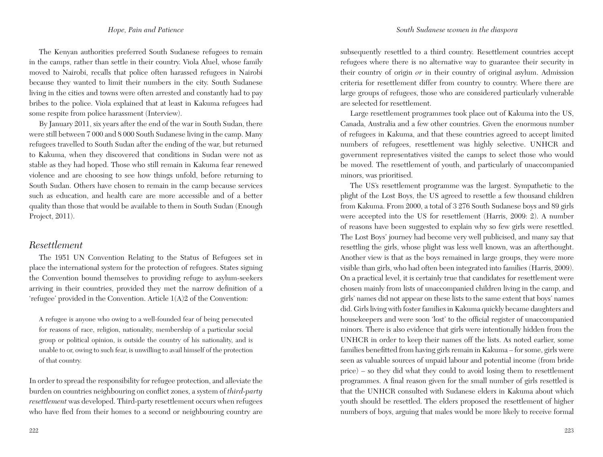The Kenyan authorities preferred South Sudanese refugees to remain in the camps, rather than settle in their country. Viola Aluel, whose family moved to Nairobi, recalls that police often harassed refugees in Nairobi because they wanted to limit their numbers in the city. South Sudanese living in the cities and towns were often arrested and constantly had to pay bribes to the police. Viola explained that at least in Kakuma refugees had some respite from police harassment (Interview).

By January 2011, six years after the end of the war in South Sudan, there were still between 7 000 and 8 000 South Sudanese living in the camp. Many refugees travelled to South Sudan after the ending of the war, but returned to Kakuma, when they discovered that conditions in Sudan were not as stable as they had hoped. Those who still remain in Kakuma fear renewed violence and are choosing to see how things unfold, before returning to South Sudan. Others have chosen to remain in the camp because services such as education, and health care are more accessible and of a better quality than those that would be available to them in South Sudan (Enough Project, 2011).

## *Resettlement*

The 1951 UN Convention Relating to the Status of Refugees set in place the international system for the protection of refugees. States signing the Convention bound themselves to providing refuge to asylum-seekers arriving in their countries, provided they met the narrow definition of a 'refugee' provided in the Convention. Article 1(A)2 of the Convention:

A refugee is anyone who owing to a well-founded fear of being persecuted for reasons of race, religion, nationality, membership of a particular social group or political opinion, is outside the country of his nationality, and is unable to or, owing to such fear, is unwilling to avail himself of the protection of that country.

In order to spread the responsibility for refugee protection, and alleviate the burden on countries neighbouring on conflict zones, a system of *third-party resettlement* was developed. Third-party resettlement occurs when refugees who have fled from their homes to a second or neighbouring country are

subsequently resettled to a third country. Resettlement countries accept refugees where there is no alternative way to guarantee their security in their country of origin *or* in their country of original asylum. Admission criteria for resettlement differ from country to country. Where there are large groups of refugees, those who are considered particularly vulnerable are selected for resettlement.

Large resettlement programmes took place out of Kakuma into the US, Canada, Australia and a few other countries. Given the enormous number of refugees in Kakuma, and that these countries agreed to accept limited numbers of refugees, resettlement was highly selective. UNHCR and government representatives visited the camps to select those who would be moved. The resettlement of youth, and particularly of unaccompanied minors, was prioritised.

The US's resettlement programme was the largest. Sympathetic to the plight of the Lost Boys, the US agreed to resettle a few thousand children from Kakuma. From 2000, a total of 3 276 South Sudanese boys and 89 girls were accepted into the US for resettlement (Harris, 2009: 2). A number of reasons have been suggested to explain why so few girls were resettled. The Lost Boys' journey had become very well publicised, and many say that resettling the girls, whose plight was less well known, was an afterthought. Another view is that as the boys remained in large groups, they were more visible than girls, who had often been integrated into families (Harris, 2009). On a practical level, it is certainly true that candidates for resettlement were chosen mainly from lists of unaccompanied children living in the camp, and girls' names did not appear on these lists to the same extent that boys' names did. Girls living with foster families in Kakuma quickly became daughters and housekeepers and were soon 'lost' to the official register of unaccompanied minors. There is also evidence that girls were intentionally hidden from the UNHCR in order to keep their names off the lists. As noted earlier, some families benefitted from having girls remain in Kakuma – for some, girls were seen as valuable sources of unpaid labour and potential income (from bride price) – so they did what they could to avoid losing them to resettlement programmes. A final reason given for the small number of girls resettled is that the UNHCR consulted with Sudanese elders in Kakuma about which youth should be resettled. The elders proposed the resettlement of higher numbers of boys, arguing that males would be more likely to receive formal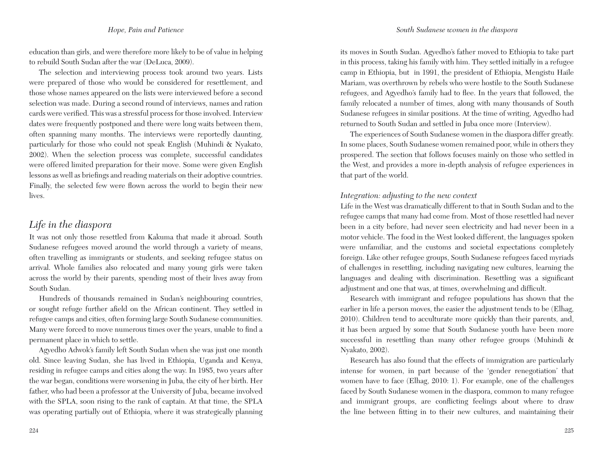education than girls, and were therefore more likely to be of value in helping to rebuild South Sudan after the war (DeLuca, 2009).

The selection and interviewing process took around two years. Lists were prepared of those who would be considered for resettlement, and those whose names appeared on the lists were interviewed before a second selection was made. During a second round of interviews, names and ration cards were verified. This was a stressful process for those involved. Interview dates were frequently postponed and there were long waits between them, often spanning many months. The interviews were reportedly daunting, particularly for those who could not speak English (Muhindi & Nyakato, 2002). When the selection process was complete, successful candidates were offered limited preparation for their move. Some were given English lessons as well as briefings and reading materials on their adoptive countries. Finally, the selected few were flown across the world to begin their new lives.

## *Life in the diaspora*

It was not only those resettled from Kakuma that made it abroad. South Sudanese refugees moved around the world through a variety of means, often travelling as immigrants or students, and seeking refugee status on arrival. Whole families also relocated and many young girls were taken across the world by their parents, spending most of their lives away from South Sudan.

Hundreds of thousands remained in Sudan's neighbouring countries, or sought refuge further afield on the African continent. They settled in refugee camps and cities, often forming large South Sudanese communities. Many were forced to move numerous times over the years, unable to find a permanent place in which to settle.

Agyedho Adwok's family left South Sudan when she was just one month old. Since leaving Sudan, she has lived in Ethiopia, Uganda and Kenya, residing in refugee camps and cities along the way. In 1985, two years after the war began, conditions were worsening in Juba, the city of her birth. Her father, who had been a professor at the University of Juba, became involved with the SPLA, soon rising to the rank of captain. At that time, the SPLA was operating partially out of Ethiopia, where it was strategically planning its moves in South Sudan. Agyedho's father moved to Ethiopia to take part in this process, taking his family with him. They settled initially in a refugee camp in Ethiopia, but in 1991, the president of Ethiopia, Mengistu Haile Mariam, was overthrown by rebels who were hostile to the South Sudanese refugees, and Agyedho's family had to flee. In the years that followed, the family relocated a number of times, along with many thousands of South Sudanese refugees in similar positions. At the time of writing, Agyedho had returned to South Sudan and settled in Juba once more (Interview).

The experiences of South Sudanese women in the diaspora differ greatly. In some places, South Sudanese women remained poor, while in others they prospered. The section that follows focuses mainly on those who settled in the West, and provides a more in-depth analysis of refugee experiences in that part of the world.

### *Integration: adjusting to the new context*

Life in the West was dramatically different to that in South Sudan and to the refugee camps that many had come from. Most of those resettled had never been in a city before, had never seen electricity and had never been in a motor vehicle. The food in the West looked different, the languages spoken were unfamiliar, and the customs and societal expectations completely foreign. Like other refugee groups, South Sudanese refugees faced myriads of challenges in resettling, including navigating new cultures, learning the languages and dealing with discrimination. Resettling was a significant adjustment and one that was, at times, overwhelming and difficult.

Research with immigrant and refugee populations has shown that the earlier in life a person moves, the easier the adjustment tends to be (Elhag, 2010). Children tend to acculturate more quickly than their parents, and, it has been argued by some that South Sudanese youth have been more successful in resettling than many other refugee groups (Muhindi & Nyakato, 2002).

Research has also found that the effects of immigration are particularly intense for women, in part because of the 'gender renegotiation' that women have to face (Elhag, 2010: 1). For example, one of the challenges faced by South Sudanese women in the diaspora, common to many refugee and immigrant groups, are conflicting feelings about where to draw the line between fitting in to their new cultures, and maintaining their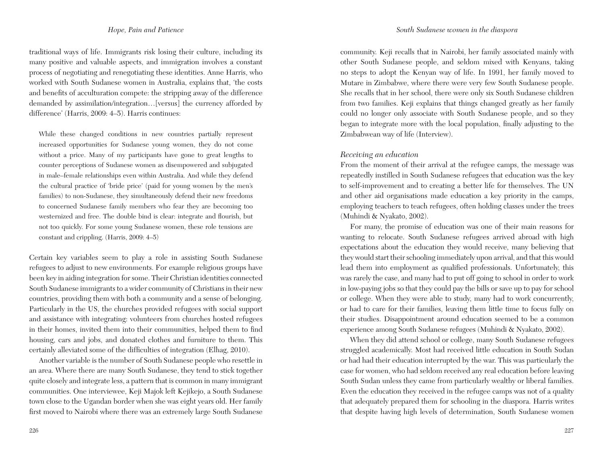traditional ways of life. Immigrants risk losing their culture, including its many positive and valuable aspects, and immigration involves a constant process of negotiating and renegotiating these identities. Anne Harris, who worked with South Sudanese women in Australia, explains that, 'the costs and benefits of acculturation compete: the stripping away of the difference demanded by assimilation/integration…[versus] the currency afforded by difference' (Harris, 2009: 4–5). Harris continues:

While these changed conditions in new countries partially represent increased opportunities for Sudanese young women, they do not come without a price. Many of my participants have gone to great lengths to counter perceptions of Sudanese women as disempowered and subjugated in male–female relationships even within Australia. And while they defend the cultural practice of 'bride price' (paid for young women by the men's families) to non-Sudanese, they simultaneously defend their new freedoms to concerned Sudanese family members who fear they are becoming too westernized and free. The double bind is clear: integrate and flourish, but not too quickly. For some young Sudanese women, these role tensions are constant and crippling. (Harris, 2009: 4–5)

Certain key variables seem to play a role in assisting South Sudanese refugees to adjust to new environments. For example religious groups have been key in aiding integration for some. Their Christian identities connected South Sudanese immigrants to a wider community of Christians in their new countries, providing them with both a community and a sense of belonging. Particularly in the US, the churches provided refugees with social support and assistance with integrating: volunteers from churches hosted refugees in their homes, invited them into their communities, helped them to find housing, cars and jobs, and donated clothes and furniture to them. This certainly alleviated some of the difficulties of integration (Elhag, 2010).

Another variable is the number of South Sudanese people who resettle in an area. Where there are many South Sudanese, they tend to stick together quite closely and integrate less, a pattern that is common in many immigrant communities. One interviewee, Keji Majok left Kejikejo, a South Sudanese town close to the Ugandan border when she was eight years old. Her family first moved to Nairobi where there was an extremely large South Sudanese

community. Keji recalls that in Nairobi, her family associated mainly with other South Sudanese people, and seldom mixed with Kenyans, taking no steps to adopt the Kenyan way of life. In 1991, her family moved to Mutare in Zimbabwe, where there were very few South Sudanese people. She recalls that in her school, there were only six South Sudanese children from two families. Keji explains that things changed greatly as her family could no longer only associate with South Sudanese people, and so they began to integrate more with the local population, finally adjusting to the Zimbabwean way of life (Interview).

#### *Receiving an education*

From the moment of their arrival at the refugee camps, the message was repeatedly instilled in South Sudanese refugees that education was the key to self-improvement and to creating a better life for themselves. The UN and other aid organisations made education a key priority in the camps, employing teachers to teach refugees, often holding classes under the trees (Muhindi & Nyakato, 2002).

For many, the promise of education was one of their main reasons for wanting to relocate. South Sudanese refugees arrived abroad with high expectations about the education they would receive, many believing that they would start their schooling immediately upon arrival, and that this would lead them into employment as qualified professionals. Unfortunately, this was rarely the case, and many had to put off going to school in order to work in low-paying jobs so that they could pay the bills or save up to pay for school or college. When they were able to study, many had to work concurrently, or had to care for their families, leaving them little time to focus fully on their studies. Disappointment around education seemed to be a common experience among South Sudanese refugees (Muhindi & Nyakato, 2002).

When they did attend school or college, many South Sudanese refugees struggled academically. Most had received little education in South Sudan or had had their education interrupted by the war. This was particularly the case for women, who had seldom received any real education before leaving South Sudan unless they came from particularly wealthy or liberal families. Even the education they received in the refugee camps was not of a quality that adequately prepared them for schooling in the diaspora. Harris writes that despite having high levels of determination, South Sudanese women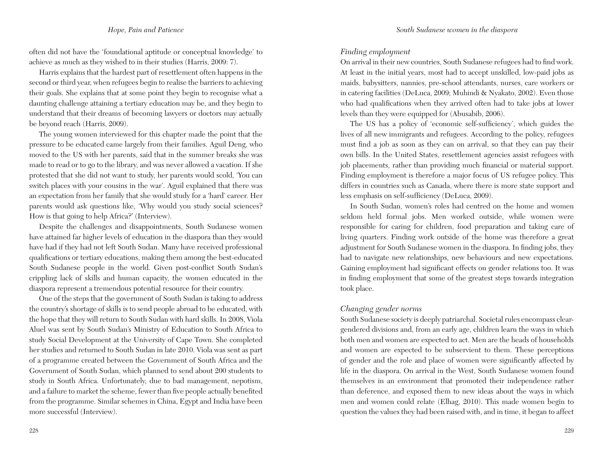often did not have the 'foundational aptitude or conceptual knowledge' to achieve as much as they wished to in their studies (Harris, 2009: 7).

Harris explains that the hardest part of resettlement often happens in the second or third year, when refugees begin to realise the barriers to achieving their goals. She explains that at some point they begin to recognise what a daunting challenge attaining a tertiary education may be, and they begin to understand that their dreams of becoming lawyers or doctors may actually be beyond reach (Harris, 2009).

The young women interviewed for this chapter made the point that the pressure to be educated came largely from their families. Aguil Deng, who moved to the US with her parents, said that in the summer breaks she was made to read or to go to the library, and was never allowed a vacation. If she protested that she did not want to study, her parents would scold, 'You can switch places with your cousins in the war'. Aguil explained that there was an expectation from her family that she would study for a 'hard' career. Her parents would ask questions like, 'Why would you study social sciences? How is that going to help Africa?' (Interview).

Despite the challenges and disappointments, South Sudanese women have attained far higher levels of education in the diaspora than they would have had if they had not left South Sudan. Many have received professional qualifications or tertiary educations, making them among the best-educated South Sudanese people in the world. Given post-conflict South Sudan's crippling lack of skills and human capacity, the women educated in the diaspora represent a tremendous potential resource for their country.

One of the steps that the government of South Sudan is taking to address the country's shortage of skills is to send people abroad to be educated, with the hope that they will return to South Sudan with hard skills. In 2008, Viola Aluel was sent by South Sudan's Ministry of Education to South Africa to study Social Development at the University of Cape Town. She completed her studies and returned to South Sudan in late 2010. Viola was sent as part of a programme created between the Government of South Africa and the Government of South Sudan, which planned to send about 200 students to study in South Africa. Unfortunately, due to bad management, nepotism, and a failure to market the scheme, fewer than five people actually benefited from the programme. Similar schemes in China, Egypt and India have been more successful (Interview).

#### *Finding employment*

On arrival in their new countries, South Sudanese refugees had to find work. At least in the initial years, most had to accept unskilled, low-paid jobs as maids, babysitters, nannies, pre-school attendants, nurses, care workers or in catering facilities (DeLuca, 2009; Muhindi & Nyakato, 2002). Even those who had qualifications when they arrived often had to take jobs at lower levels than they were equipped for (Abusabib, 2006).

The US has a policy of 'economic self-sufficiency', which guides the lives of all new immigrants and refugees. According to the policy, refugees must find a job as soon as they can on arrival, so that they can pay their own bills. In the United States, resettlement agencies assist refugees with job placements, rather than providing much financial or material support. Finding employment is therefore a major focus of US refugee policy. This differs in countries such as Canada, where there is more state support and less emphasis on self-sufficiency (DeLuca, 2009).

In South Sudan, women's roles had centred on the home and women seldom held formal jobs. Men worked outside, while women were responsible for caring for children, food preparation and taking care of living quarters. Finding work outside of the home was therefore a great adjustment for South Sudanese women in the diaspora. In finding jobs, they had to navigate new relationships, new behaviours and new expectations. Gaining employment had significant effects on gender relations too. It was in finding employment that some of the greatest steps towards integration took place.

#### *Changing gender norms*

South Sudanese society is deeply patriarchal. Societal rules encompass cleargendered divisions and, from an early age, children learn the ways in which both men and women are expected to act. Men are the heads of households and women are expected to be subservient to them. These perceptions of gender and the role and place of women were significantly affected by life in the diaspora. On arrival in the West, South Sudanese women found themselves in an environment that promoted their independence rather than deference, and exposed them to new ideas about the ways in which men and women could relate (Elhag, 2010). This made women begin to question the values they had been raised with, and in time, it began to affect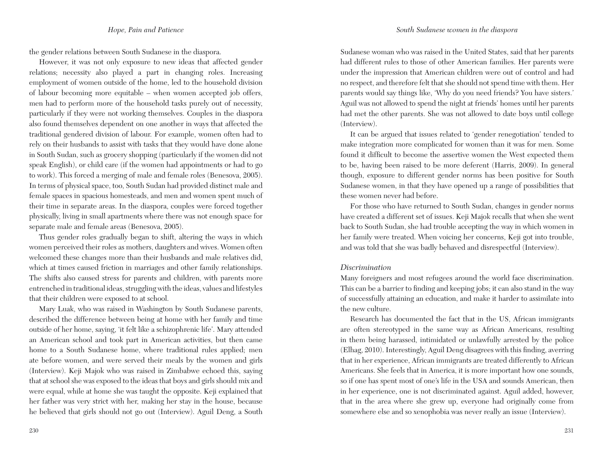the gender relations between South Sudanese in the diaspora.

However, it was not only exposure to new ideas that affected gender relations; necessity also played a part in changing roles. Increasing employment of women outside of the home, led to the household division of labour becoming more equitable – when women accepted job offers, men had to perform more of the household tasks purely out of necessity, particularly if they were not working themselves. Couples in the diaspora also found themselves dependent on one another in ways that affected the traditional gendered division of labour. For example, women often had to rely on their husbands to assist with tasks that they would have done alone in South Sudan, such as grocery shopping (particularly if the women did not speak English), or child care (if the women had appointments or had to go to work). This forced a merging of male and female roles (Benesova, 2005). In terms of physical space, too, South Sudan had provided distinct male and female spaces in spacious homesteads, and men and women spent much of their time in separate areas. In the diaspora, couples were forced together physically, living in small apartments where there was not enough space for separate male and female areas (Benesova, 2005).

Thus gender roles gradually began to shift, altering the ways in which women perceived their roles as mothers, daughters and wives. Women often welcomed these changes more than their husbands and male relatives did, which at times caused friction in marriages and other family relationships. The shifts also caused stress for parents and children, with parents more entrenched in traditional ideas, struggling with the ideas, values and lifestyles that their children were exposed to at school.

Mary Luak, who was raised in Washington by South Sudanese parents, described the difference between being at home with her family and time outside of her home, saying, 'it felt like a schizophrenic life'. Mary attended an American school and took part in American activities, but then came home to a South Sudanese home, where traditional rules applied; men ate before women, and were served their meals by the women and girls (Interview). Keji Majok who was raised in Zimbabwe echoed this, saying that at school she was exposed to the ideas that boys and girls should mix and were equal, while at home she was taught the opposite. Keji explained that her father was very strict with her, making her stay in the house, because he believed that girls should not go out (Interview). Aguil Deng, a South

Sudanese woman who was raised in the United States, said that her parents had different rules to those of other American families. Her parents were under the impression that American children were out of control and had no respect, and therefore felt that she should not spend time with them. Her parents would say things like, 'Why do you need friends? You have sisters.' Aguil was not allowed to spend the night at friends' homes until her parents had met the other parents. She was not allowed to date boys until college (Interview).

It can be argued that issues related to 'gender renegotiation' tended to make integration more complicated for women than it was for men. Some found it difficult to become the assertive women the West expected them to be, having been raised to be more deferent (Harris, 2009). In general though, exposure to different gender norms has been positive for South Sudanese women, in that they have opened up a range of possibilities that these women never had before.

For those who have returned to South Sudan, changes in gender norms have created a different set of issues. Keji Majok recalls that when she went back to South Sudan, she had trouble accepting the way in which women in her family were treated. When voicing her concerns, Keji got into trouble, and was told that she was badly behaved and disrespectful (Interview).

### *Discrimination*

Many foreigners and most refugees around the world face discrimination. This can be a barrier to finding and keeping jobs; it can also stand in the way of successfully attaining an education, and make it harder to assimilate into the new culture.

Research has documented the fact that in the US, African immigrants are often stereotyped in the same way as African Americans, resulting in them being harassed, intimidated or unlawfully arrested by the police (Elhag, 2010). Interestingly, Aguil Deng disagrees with this finding, averring that in her experience, African immigrants are treated differently to African Americans. She feels that in America, it is more important how one sounds, so if one has spent most of one's life in the USA and sounds American, then in her experience, one is not discriminated against. Aguil added, however, that in the area where she grew up, everyone had originally come from somewhere else and so xenophobia was never really an issue (Interview).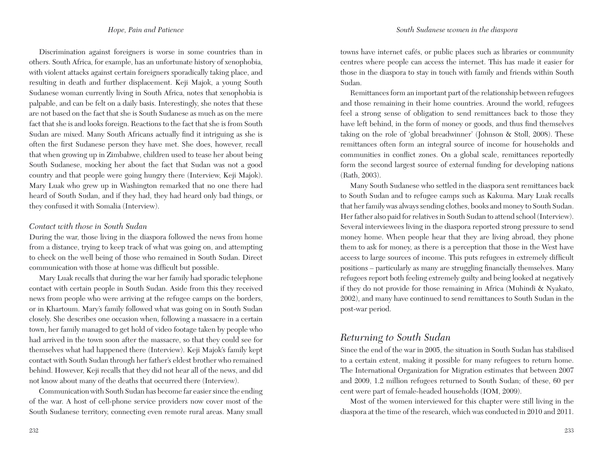Discrimination against foreigners is worse in some countries than in others. South Africa, for example, has an unfortunate history of xenophobia, with violent attacks against certain foreigners sporadically taking place, and resulting in death and further displacement. Keji Majok, a young South Sudanese woman currently living in South Africa, notes that xenophobia is palpable, and can be felt on a daily basis. Interestingly, she notes that these are not based on the fact that she is South Sudanese as much as on the mere fact that she is and looks foreign. Reactions to the fact that she is from South Sudan are mixed. Many South Africans actually find it intriguing as she is often the first Sudanese person they have met. She does, however, recall that when growing up in Zimbabwe, children used to tease her about being South Sudanese, mocking her about the fact that Sudan was not a good country and that people were going hungry there (Interview, Keji Majok). Mary Luak who grew up in Washington remarked that no one there had heard of South Sudan, and if they had, they had heard only bad things, or they confused it with Somalia (Interview).

#### *Contact with those in South Sudan*

During the war, those living in the diaspora followed the news from home from a distance, trying to keep track of what was going on, and attempting to check on the well being of those who remained in South Sudan. Direct communication with those at home was difficult but possible.

Mary Luak recalls that during the war her family had sporadic telephone contact with certain people in South Sudan. Aside from this they received news from people who were arriving at the refugee camps on the borders, or in Khartoum. Mary's family followed what was going on in South Sudan closely. She describes one occasion when, following a massacre in a certain town, her family managed to get hold of video footage taken by people who had arrived in the town soon after the massacre, so that they could see for themselves what had happened there (Interview). Keji Majok's family kept contact with South Sudan through her father's eldest brother who remained behind. However, Keji recalls that they did not hear all of the news, and did not know about many of the deaths that occurred there (Interview).

Communication with South Sudan has become far easier since the ending of the war. A host of cell-phone service providers now cover most of the South Sudanese territory, connecting even remote rural areas. Many small towns have internet cafés, or public places such as libraries or community centres where people can access the internet. This has made it easier for those in the diaspora to stay in touch with family and friends within South Sudan.

Remittances form an important part of the relationship between refugees and those remaining in their home countries. Around the world, refugees feel a strong sense of obligation to send remittances back to those they have left behind, in the form of money or goods, and thus find themselves taking on the role of 'global breadwinner' (Johnson & Stoll, 2008). These remittances often form an integral source of income for households and communities in conflict zones. On a global scale, remittances reportedly form the second largest source of external funding for developing nations (Rath, 2003).

Many South Sudanese who settled in the diaspora sent remittances back to South Sudan and to refugee camps such as Kakuma. Mary Luak recalls that her family was always sending clothes, books and money to South Sudan. Her father also paid for relatives in South Sudan to attend school (Interview). Several interviewees living in the diaspora reported strong pressure to send money home. When people hear that they are living abroad, they phone them to ask for money, as there is a perception that those in the West have access to large sources of income. This puts refugees in extremely difficult positions – particularly as many are struggling financially themselves. Many refugees report both feeling extremely guilty and being looked at negatively if they do not provide for those remaining in Africa (Muhindi & Nyakato, 2002), and many have continued to send remittances to South Sudan in the post-war period.

## *Returning to South Sudan*

Since the end of the war in 2005, the situation in South Sudan has stabilised to a certain extent, making it possible for many refugees to return home. The International Organization for Migration estimates that between 2007 and 2009, 1.2 million refugees returned to South Sudan; of these, 60 per cent were part of female-headed households (IOM, 2009).

Most of the women interviewed for this chapter were still living in the diaspora at the time of the research, which was conducted in 2010 and 2011.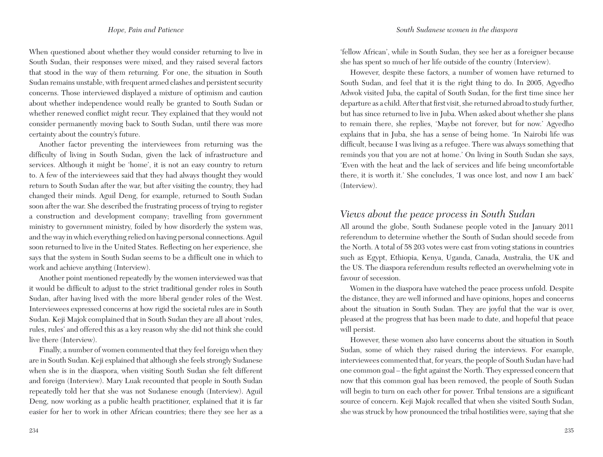When questioned about whether they would consider returning to live in South Sudan, their responses were mixed, and they raised several factors that stood in the way of them returning. For one, the situation in South Sudan remains unstable, with frequent armed clashes and persistent security concerns. Those interviewed displayed a mixture of optimism and caution about whether independence would really be granted to South Sudan or whether renewed conflict might recur. They explained that they would not consider permanently moving back to South Sudan, until there was more certainty about the country's future.

Another factor preventing the interviewees from returning was the difficulty of living in South Sudan, given the lack of infrastructure and services. Although it might be 'home', it is not an easy country to return to. A few of the interviewees said that they had always thought they would return to South Sudan after the war, but after visiting the country, they had changed their minds. Aguil Deng, for example, returned to South Sudan soon after the war. She described the frustrating process of trying to register a construction and development company; travelling from government ministry to government ministry, foiled by how disorderly the system was, and the way in which everything relied on having personal connections. Aguil soon returned to live in the United States. Reflecting on her experience, she says that the system in South Sudan seems to be a difficult one in which to work and achieve anything (Interview).

Another point mentioned repeatedly by the women interviewed was that it would be difficult to adjust to the strict traditional gender roles in South Sudan, after having lived with the more liberal gender roles of the West. Interviewees expressed concerns at how rigid the societal rules are in South Sudan. Keji Majok complained that in South Sudan they are all about 'rules, rules, rules' and offered this as a key reason why she did not think she could live there (Interview).

Finally, a number of women commented that they feel foreign when they are in South Sudan. Keji explained that although she feels strongly Sudanese when she is in the diaspora, when visiting South Sudan she felt different and foreign (Interview). Mary Luak recounted that people in South Sudan repeatedly told her that she was not Sudanese enough (Interview). Aguil Deng, now working as a public health practitioner, explained that it is far easier for her to work in other African countries; there they see her as a

234

'fellow African', while in South Sudan, they see her as a foreigner because she has spent so much of her life outside of the country (Interview).

However, despite these factors, a number of women have returned to South Sudan, and feel that it is the right thing to do. In 2005, Agyedho Adwok visited Juba, the capital of South Sudan, for the first time since her departure as a child. After that first visit, she returned abroad to study further, but has since returned to live in Juba. When asked about whether she plans to remain there, she replies, 'Maybe not forever, but for now.' Agyedho explains that in Juba, she has a sense of being home. 'In Nairobi life was difficult, because I was living as a refugee. There was always something that reminds you that you are not at home.' On living in South Sudan she says, 'Even with the heat and the lack of services and life being uncomfortable there, it is worth it.' She concludes, 'I was once lost, and now I am back' (Interview).

## *Views about the peace process in South Sudan*

All around the globe, South Sudanese people voted in the January 2011 referendum to determine whether the South of Sudan should secede from the North. A total of 58 203 votes were cast from voting stations in countries such as Egypt, Ethiopia, Kenya, Uganda, Canada, Australia, the UK and the US. The diaspora referendum results reflected an overwhelming vote in favour of secession.

Women in the diaspora have watched the peace process unfold. Despite the distance, they are well informed and have opinions, hopes and concerns about the situation in South Sudan. They are joyful that the war is over, pleased at the progress that has been made to date, and hopeful that peace will persist.

However, these women also have concerns about the situation in South Sudan, some of which they raised during the interviews. For example, interviewees commented that, for years, the people of South Sudan have had one common goal – the fight against the North. They expressed concern that now that this common goal has been removed, the people of South Sudan will begin to turn on each other for power. Tribal tensions are a significant source of concern. Keji Majok recalled that when she visited South Sudan, she was struck by how pronounced the tribal hostilities were, saying that she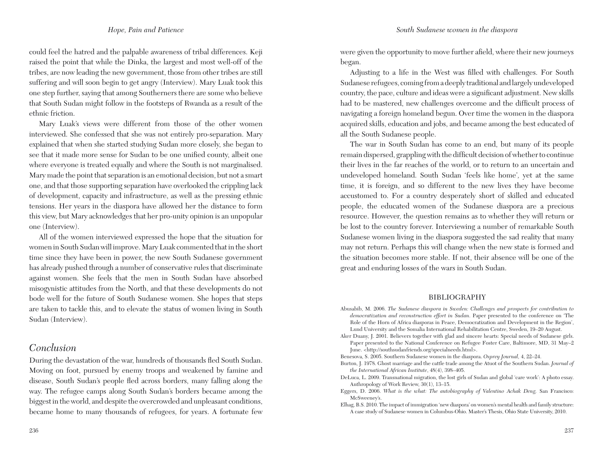could feel the hatred and the palpable awareness of tribal differences. Keji raised the point that while the Dinka, the largest and most well-off of the tribes, are now leading the new government, those from other tribes are still suffering and will soon begin to get angry (Interview). Mary Luak took this one step further, saying that among Southerners there are some who believe that South Sudan might follow in the footsteps of Rwanda as a result of the ethnic friction.

Mary Luak's views were different from those of the other women interviewed. She confessed that she was not entirely pro-separation. Mary explained that when she started studying Sudan more closely, she began to see that it made more sense for Sudan to be one unified county, albeit one where everyone is treated equally and where the South is not marginalised. Mary made the point that separation is an emotional decision, but not a smart one, and that those supporting separation have overlooked the crippling lack of development, capacity and infrastructure, as well as the pressing ethnic tensions. Her years in the diaspora have allowed her the distance to form this view, but Mary acknowledges that her pro-unity opinion is an unpopular one (Interview).

All of the women interviewed expressed the hope that the situation for women in South Sudan will improve. Mary Luak commented that in the short time since they have been in power, the new South Sudanese government has already pushed through a number of conservative rules that discriminate against women. She feels that the men in South Sudan have absorbed misogynistic attitudes from the North, and that these developments do not bode well for the future of South Sudanese women. She hopes that steps are taken to tackle this, and to elevate the status of women living in South Sudan (Interview).

## *Conclusion*

During the devastation of the war, hundreds of thousands fled South Sudan. Moving on foot, pursued by enemy troops and weakened by famine and disease, South Sudan's people fled across borders, many falling along the way. The refugee camps along South Sudan's borders became among the biggest in the world, and despite the overcrowded and unpleasant conditions, became home to many thousands of refugees, for years. A fortunate few

were given the opportunity to move further afield, where their new journeys began.

Adjusting to a life in the West was filled with challenges. For South Sudanese refugees, coming from a deeply traditional and largely undeveloped country, the pace, culture and ideas were a significant adjustment. New skills had to be mastered, new challenges overcome and the difficult process of navigating a foreign homeland begun. Over time the women in the diaspora acquired skills, education and jobs, and became among the best educated of all the South Sudanese people.

The war in South Sudan has come to an end, but many of its people remain dispersed, grappling with the difficult decision of whether to continue their lives in the far reaches of the world, or to return to an uncertain and undeveloped homeland. South Sudan 'feels like home'*,* yet at the same time, it is foreign, and so different to the new lives they have become accustomed to. For a country desperately short of skilled and educated people, the educated women of the Sudanese diaspora are a precious resource. However, the question remains as to whether they will return or be lost to the country forever. Interviewing a number of remarkable South Sudanese women living in the diaspora suggested the sad reality that many may not return. Perhaps this will change when the new state is formed and the situation becomes more stable. If not, their absence will be one of the great and enduring losses of the wars in South Sudan.

#### **BIBLIOGRAPHY**

- Abusabib, M. 2006. *The Sudanese diaspora in Sweden: Challenges and prospects for contribution to democratization and reconstruction effort in Sudan*. Paper presented to the conference on 'The Role of the Horn of Africa diasporas in Peace, Democratization and Development in the Region', Lund University and the Somalia International Rehabilitation Centre, Sweden, 19–20 August.
- Aker Duany, J. 2001. Believers together with glad and sincere hearts: Special needs of Sudanese girls. Paper presented to the National Conference on Refugee Foster Care, Baltimore, MD, 31 May–2 June. <http://southsudanfriends.org/specialneeds.html>.
- Benesova, S. 2005. Southern Sudanese women in the diaspora. *Osprey Journal,* 4, 22–24.
- Burton, J. 1978. Ghost marriage and the cattle trade among the Atuot of the Southern Sudan. *Journal of the International African Institute*, 48(4), 398–405.
- DeLuca, L. 2009. Transnational migration, the lost girls of Sudan and global 'care work': A photo essay. Anthropology of Work Review, 30(1), 13–15.
- Eggers, D. 2006. *What is the what: The autobiography of Valentino Achak Deng.* San Francisco: McSweeney's.
- Elhag, B.S. 2010. The impact of immigration 'new diaspora' on women's mental health and family structure: A case study of Sudanese women in Columbus-Ohio. Master's Thesis, Ohio State University, 2010.